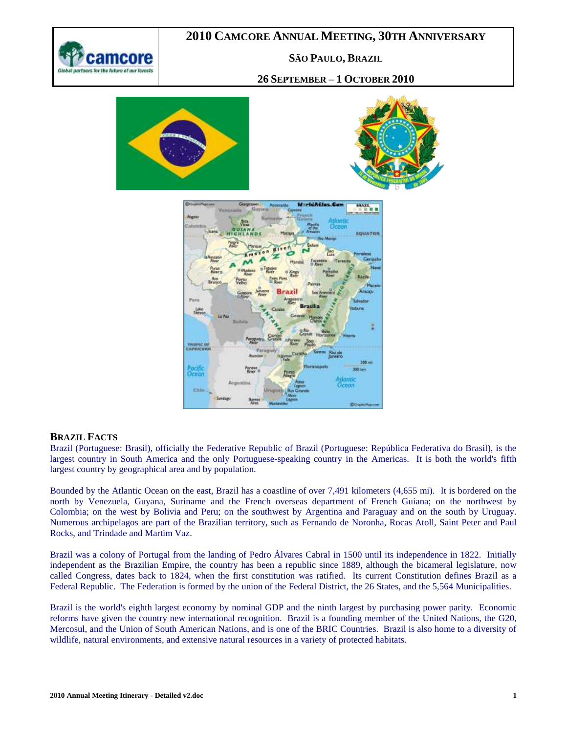

#### **SÃO PAULO, BRAZIL**

#### **26 SEPTEMBER – 1 OCTOBER 2010**







#### **BRAZIL FACTS**

Brazil [\(Portuguese:](http://en.wikipedia.org/wiki/Portuguese_language) Brasil), officially the Federative Republic of Brazil [\(Portuguese:](http://en.wikipedia.org/wiki/Portuguese_language) República Federativa do Brasil), is the largest country in South America and the only [Portuguese-speaking country](http://en.wikipedia.org/wiki/Community_of_Portuguese_Language_Countries) in the [Americas.](http://en.wikipedia.org/wiki/Americas) It is both the world's [fifth](http://en.wikipedia.org/wiki/List_of_countries_and_outlying_territories_by_total_area)  [largest](http://en.wikipedia.org/wiki/List_of_countries_and_outlying_territories_by_total_area) country by geographical area and [by population.](http://en.wikipedia.org/wiki/List_of_countries_by_population)

Bounded by the [Atlantic Ocean](http://en.wikipedia.org/wiki/Atlantic_Ocean) on the east, Brazil has a coastline of over 7,491 kilometers (4,655 mi). It is bordered on the north by [Venezuela,](http://en.wikipedia.org/wiki/Venezuela) [Guyana,](http://en.wikipedia.org/wiki/Guyana) [Suriname](http://en.wikipedia.org/wiki/Suriname) and the [French](http://en.wikipedia.org/wiki/France) overseas department of [French Guiana;](http://en.wikipedia.org/wiki/French_Guiana) on the northwest by [Colombia;](http://en.wikipedia.org/wiki/Colombia) on the west by [Bolivia](http://en.wikipedia.org/wiki/Bolivia) and [Peru;](http://en.wikipedia.org/wiki/Peru) on the southwest by [Argentina](http://en.wikipedia.org/wiki/Argentina) and [Paraguay](http://en.wikipedia.org/wiki/Paraguay) and on the south by [Uruguay.](http://en.wikipedia.org/wiki/Uruguay) Numerous [archipelagos](http://en.wikipedia.org/wiki/Archipelago) are part of the Brazilian territory, such as [Fernando de Noronha,](http://en.wikipedia.org/wiki/Fernando_de_Noronha) [Rocas Atoll,](http://en.wikipedia.org/wiki/Rocas_Atoll) [Saint Peter and Paul](http://en.wikipedia.org/wiki/Saint_Peter_and_Saint_Paul_Archipelago)  [Rocks,](http://en.wikipedia.org/wiki/Saint_Peter_and_Saint_Paul_Archipelago) and [Trindade and Martim Vaz.](http://en.wikipedia.org/wiki/Trindade_and_Martim_Vaz)

Brazil was a colony of [Portugal](http://en.wikipedia.org/wiki/Portugal) from the landing of [Pedro Álvares Cabral](http://en.wikipedia.org/wiki/Pedro_%C3%81lvares_Cabral) in 1500 until its independence in 1822. Initially independent as the [Brazilian Empire,](http://en.wikipedia.org/wiki/Empire_of_Brazil) the country has been a [republic](http://en.wikipedia.org/wiki/Republic) since 1889, although the [bicameral](http://en.wikipedia.org/wiki/Bicameralism) legislature, now called [Congress,](http://en.wikipedia.org/wiki/National_Congress_of_Brazil) dates back to 1824, when the first constitution was ratified. Its current [Constitution](http://en.wikipedia.org/wiki/Constitution_of_Brazil) defines Brazil as a [Federal Republic.](http://en.wikipedia.org/wiki/Federal_republic) The Federation is formed by the union of the [Federal District,](http://en.wikipedia.org/wiki/Brazilian_Federal_District) the 2[6 States,](http://en.wikipedia.org/wiki/States_of_Brazil) and the 5,564 [Municipalities.](http://en.wikipedia.org/wiki/Municipalities_of_Brazil)

Brazil is the [world's eighth largest economy](http://en.wikipedia.org/wiki/List_of_countries_by_GDP_(nominal)) by nominal GDP and the [ninth largest](http://en.wikipedia.org/wiki/List_of_countries_by_GDP_(PPP)) by [purchasing power parity.](http://en.wikipedia.org/wiki/Purchasing_power_parity) Economic reforms have given the country new international recognition. Brazil is a founding member of the [United Nations,](http://en.wikipedia.org/wiki/United_Nations) the [G20,](http://en.wikipedia.org/wiki/G-20_major_economies) [Mercosul,](http://en.wikipedia.org/wiki/Mercosur) and the [Union of South American Nations,](http://en.wikipedia.org/wiki/Union_of_South_American_Nations) and is one of the [BRIC](http://en.wikipedia.org/wiki/BRIC) Countries. Brazil is also home to a diversity of [wildlife,](http://en.wikipedia.org/wiki/Wildlife_of_Brazil) [natural environments,](http://en.wikipedia.org/wiki/Natural_environment) and extensive [natural resources](http://en.wikipedia.org/wiki/Natural_resource) in a variety of [protected habitats.](http://en.wikipedia.org/wiki/Protected_areas_of_Brazil)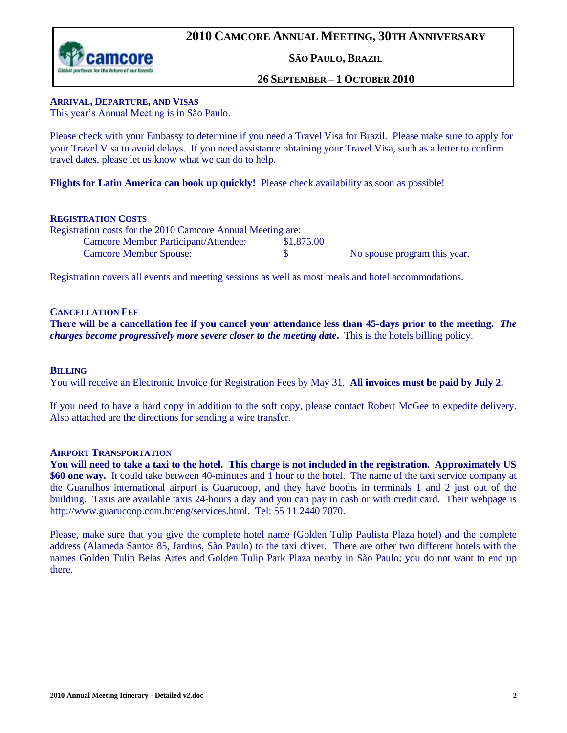

**SÃO PAULO, BRAZIL**

#### **26 SEPTEMBER – 1 OCTOBER 2010**

#### **ARRIVAL, DEPARTURE, AND VISAS**

This year's Annual Meeting is in São Paulo.

Please check with your Embassy to determine if you need a Travel Visa for Brazil. Please make sure to apply for your Travel Visa to avoid delays. If you need assistance obtaining your Travel Visa, such as a letter to confirm travel dates, please let us know what we can do to help.

**Flights for Latin America can book up quickly!** Please check availability as soon as possible!

#### **REGISTRATION COSTS**

| Registration costs for the 2010 Camcore Annual Meeting are: |            |                              |
|-------------------------------------------------------------|------------|------------------------------|
| Camcore Member Participant/Attendee:                        | \$1,875.00 |                              |
| <b>Camcore Member Spouse:</b>                               |            | No spouse program this year. |

Registration covers all events and meeting sessions as well as most meals and hotel accommodations.

#### **CANCELLATION FEE**

**There will be a cancellation fee if you cancel your attendance less than 45-days prior to the meeting.** *The charges become progressively more severe closer to the meeting date***.** This is the hotels billing policy.

#### **BILLING**

You will receive an Electronic Invoice for Registration Fees by May 31. **All invoices must be paid by July 2.**

If you need to have a hard copy in addition to the soft copy, please contact Robert McGee to expedite delivery. Also attached are the directions for sending a wire transfer.

#### **AIRPORT TRANSPORTATION**

**You will need to take a taxi to the hotel. This charge is not included in the registration. Approximately US \$60 one way.** It could take between 40-minutes and 1 hour to the hotel. The name of the taxi service company at the Guarulhos international airport is Guarucoop, and they have booths in terminals 1 and 2 just out of the building. Taxis are available taxis 24-hours a day and you can pay in cash or with credit card. Their webpage is [http://www.guarucoop.com.br/eng/services.html.](http://www.guarucoop.com.br/eng/services.html) Tel: 55 11 2440 7070.

Please, make sure that you give the complete hotel name (Golden Tulip Paulista Plaza hotel) and the complete address (Alameda Santos 85, Jardins, São Paulo) to the taxi driver. There are other two different hotels with the names Golden Tulip Belas Artes and Golden Tulip Park Plaza nearby in São Paulo; you do not want to end up there.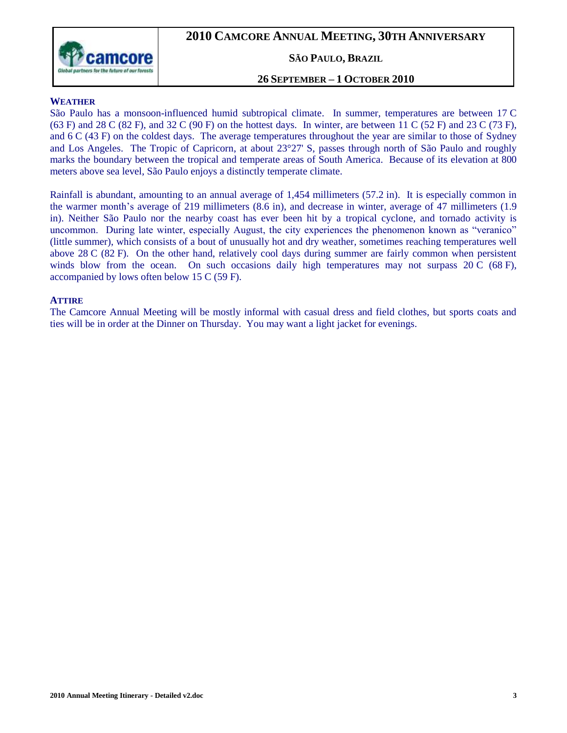

#### **SÃO PAULO, BRAZIL**

#### **26 SEPTEMBER – 1 OCTOBER 2010**

#### **WEATHER**

São Paulo has a monsoon-influenced [humid subtropical climate.](http://en.wikipedia.org/wiki/Humid_subtropical_climate) In summer, temperatures are between 17 C (63 F) and 28 C (82 F), and 32 C (90 F) on the hottest days. In winter, are between 11 C (52 F) and 23 C (73 F), and 6 C (43 F) on the coldest days. The average temperatures throughout the year are similar to those of [Sydney](http://en.wikipedia.org/wiki/Sydney) and [Los Angeles.](http://en.wikipedia.org/wiki/Los_Angeles) The [Tropic of Capricorn,](http://en.wikipedia.org/wiki/Tropic_of_Capricorn) at about 23°27' S, passes through north of São Paulo and roughly marks the boundary between the tropical and [temperate](http://en.wikipedia.org/wiki/Temperateness) areas of South America. Because of its [elevation](http://en.wikipedia.org/wiki/Elevation) at 800 meters above sea level, São Paulo enjoys a distinctly temperate climate.

Rainfall is abundant, amounting to an annual average of 1,454 millimeters (57.2 in). It is especially common in the warmer month's average of 219 millimeters (8.6 in), and decrease in winter, average of 47 millimeters (1.9 in). Neither São Paulo nor the nearby coast has ever been hit by a [tropical cyclone,](http://en.wikipedia.org/wiki/Tropical_cyclone) and [tornado](http://en.wikipedia.org/wiki/Tornado) activity is uncommon. During late winter, especially August, the city experiences the phenomenon known as "veranico" (little summer), which consists of a bout of unusually hot and dry weather, sometimes reaching temperatures well above 28 C (82 F). On the other hand, relatively cool days during summer are fairly common when persistent winds blow from the ocean. On such occasions daily high temperatures may not surpass 20 C (68 F), accompanied by lows often below 15 C (59 F).

#### **ATTIRE**

The Camcore Annual Meeting will be mostly informal with casual dress and field clothes, but sports coats and ties will be in order at the Dinner on Thursday. You may want a light jacket for evenings.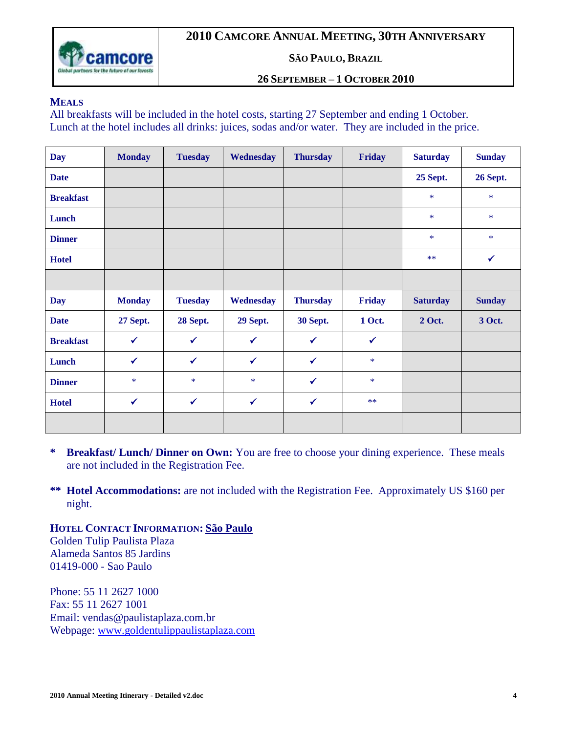

#### **SÃO PAULO, BRAZIL**

#### **26 SEPTEMBER – 1 OCTOBER 2010**

#### **MEALS**

All breakfasts will be included in the hotel costs, starting 27 September and ending 1 October. Lunch at the hotel includes all drinks: juices, sodas and/or water. They are included in the price.

| <b>Day</b>       | <b>Monday</b>   | <b>Tuesday</b> | Wednesday    | <b>Thursday</b> | Friday       | <b>Saturday</b> | <b>Sunday</b>   |
|------------------|-----------------|----------------|--------------|-----------------|--------------|-----------------|-----------------|
| <b>Date</b>      |                 |                |              |                 |              | 25 Sept.        | <b>26 Sept.</b> |
| <b>Breakfast</b> |                 |                |              |                 |              | $\ast$          | *               |
| Lunch            |                 |                |              |                 |              | $\ast$          | $\ast$          |
| <b>Dinner</b>    |                 |                |              |                 |              | $\ast$          | $\ast$          |
| <b>Hotel</b>     |                 |                |              |                 |              | $***$           | $\checkmark$    |
|                  |                 |                |              |                 |              |                 |                 |
| <b>Day</b>       | <b>Monday</b>   | <b>Tuesday</b> | Wednesday    | <b>Thursday</b> | Friday       | <b>Saturday</b> | <b>Sunday</b>   |
| <b>Date</b>      | <b>27 Sept.</b> | 28 Sept.       | 29 Sept.     | <b>30 Sept.</b> | 1 Oct.       | 2 Oct.          | 3 Oct.          |
| <b>Breakfast</b> | $\checkmark$    | $\checkmark$   | $\checkmark$ | $\checkmark$    | $\checkmark$ |                 |                 |
| Lunch            | $\checkmark$    | $\checkmark$   | $\checkmark$ | $\checkmark$    | $\ast$       |                 |                 |
| <b>Dinner</b>    | $\ast$          | $\ast$         | $\ast$       | $\checkmark$    | $\ast$       |                 |                 |
|                  |                 |                |              |                 |              |                 |                 |
| <b>Hotel</b>     | $\checkmark$    | $\checkmark$   | $\checkmark$ | $\checkmark$    | $***$        |                 |                 |

- **\* Breakfast/ Lunch/ Dinner on Own:** You are free to choose your dining experience. These meals are not included in the Registration Fee.
- **\*\* Hotel Accommodations:** are not included with the Registration Fee. Approximately US \$160 per night.

**HOTEL CONTACT INFORMATION: São Paulo** Golden Tulip Paulista Plaza Alameda Santos 85 Jardins

01419-000 - Sao Paulo Phone: 55 11 2627 1000 Fax: 55 11 2627 1001 Email: [vendas@paulistaplaza.com.br](mailto:vendas@paulistaplaza.com.br)

Webpage: [www.goldentulippaulistaplaza.com](http://www.goldentulippaulistaplaza.com/)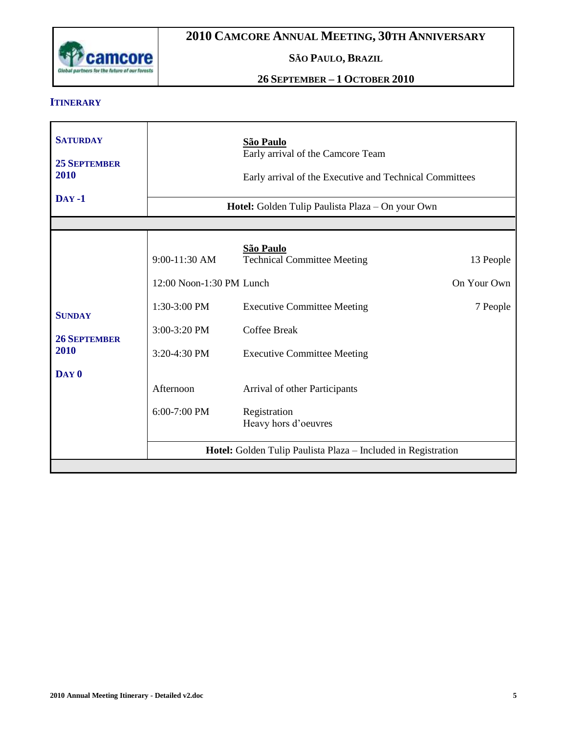

## **SÃO PAULO, BRAZIL**

## **26 SEPTEMBER – 1 OCTOBER 2010**

#### **ITINERARY**

| <b>SATURDAY</b>                                                  | São Paulo                                                                                                                |                                                                                                                                                                                                                                                                                                     |                                      |  |
|------------------------------------------------------------------|--------------------------------------------------------------------------------------------------------------------------|-----------------------------------------------------------------------------------------------------------------------------------------------------------------------------------------------------------------------------------------------------------------------------------------------------|--------------------------------------|--|
| <b>25 SEPTEMBER</b>                                              | Early arrival of the Camcore Team                                                                                        |                                                                                                                                                                                                                                                                                                     |                                      |  |
| 2010                                                             | Early arrival of the Executive and Technical Committees                                                                  |                                                                                                                                                                                                                                                                                                     |                                      |  |
| $Day -1$                                                         | Hotel: Golden Tulip Paulista Plaza - On your Own                                                                         |                                                                                                                                                                                                                                                                                                     |                                      |  |
| <b>SUNDAY</b><br><b>26 SEPTEMBER</b><br>2010<br>DAY <sub>0</sub> | 9:00-11:30 AM<br>12:00 Noon-1:30 PM Lunch<br>1:30-3:00 PM<br>3:00-3:20 PM<br>3:20-4:30 PM<br>Afternoon<br>$6:00-7:00$ PM | <b>São Paulo</b><br><b>Technical Committee Meeting</b><br><b>Executive Committee Meeting</b><br><b>Coffee Break</b><br><b>Executive Committee Meeting</b><br>Arrival of other Participants<br>Registration<br>Heavy hors d'oeuvres<br>Hotel: Golden Tulip Paulista Plaza – Included in Registration | 13 People<br>On Your Own<br>7 People |  |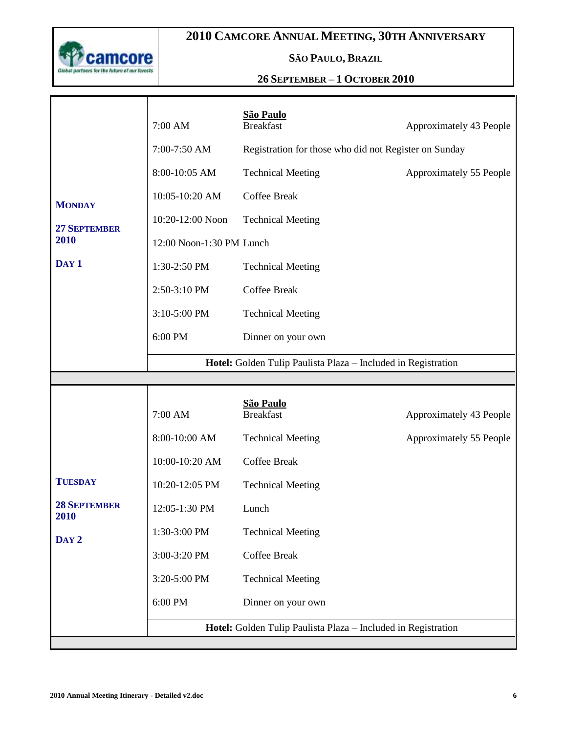

Т

# **2010 CAMCORE ANNUAL MEETING, 30TH ANNIVERSARY**

## **SÃO PAULO, BRAZIL**

## **26 SEPTEMBER – 1 OCTOBER 2010**

|                     | 7:00 AM                                                       | São Paulo<br><b>Breakfast</b>                         | Approximately 43 People |  |  |
|---------------------|---------------------------------------------------------------|-------------------------------------------------------|-------------------------|--|--|
|                     | 7:00-7:50 AM                                                  | Registration for those who did not Register on Sunday |                         |  |  |
|                     | 8:00-10:05 AM                                                 | <b>Technical Meeting</b>                              | Approximately 55 People |  |  |
| <b>MONDAY</b>       | 10:05-10:20 AM                                                | <b>Coffee Break</b>                                   |                         |  |  |
| <b>27 SEPTEMBER</b> | 10:20-12:00 Noon                                              | <b>Technical Meeting</b>                              |                         |  |  |
| 2010                | 12:00 Noon-1:30 PM Lunch                                      |                                                       |                         |  |  |
| DAY <sub>1</sub>    | 1:30-2:50 PM                                                  | <b>Technical Meeting</b>                              |                         |  |  |
|                     | 2:50-3:10 PM                                                  | <b>Coffee Break</b>                                   |                         |  |  |
|                     | 3:10-5:00 PM                                                  | <b>Technical Meeting</b>                              |                         |  |  |
|                     | 6:00 PM                                                       | Dinner on your own                                    |                         |  |  |
|                     | Hotel: Golden Tulip Paulista Plaza - Included in Registration |                                                       |                         |  |  |
|                     |                                                               |                                                       |                         |  |  |
|                     |                                                               |                                                       |                         |  |  |
|                     | 7:00 AM                                                       | São Paulo<br><b>Breakfast</b>                         | Approximately 43 People |  |  |
|                     | 8:00-10:00 AM                                                 | <b>Technical Meeting</b>                              | Approximately 55 People |  |  |
|                     | 10:00-10:20 AM                                                | <b>Coffee Break</b>                                   |                         |  |  |
| <b>TUESDAY</b>      | 10:20-12:05 PM                                                | <b>Technical Meeting</b>                              |                         |  |  |
| <b>28 SEPTEMBER</b> | 12:05-1:30 PM                                                 | Lunch                                                 |                         |  |  |
| 2010                | 1:30-3:00 PM                                                  | <b>Technical Meeting</b>                              |                         |  |  |
| DAY <sub>2</sub>    | 3:00-3:20 PM                                                  | Coffee Break                                          |                         |  |  |
|                     | 3:20-5:00 PM                                                  | <b>Technical Meeting</b>                              |                         |  |  |
|                     | 6:00 PM                                                       | Dinner on your own                                    |                         |  |  |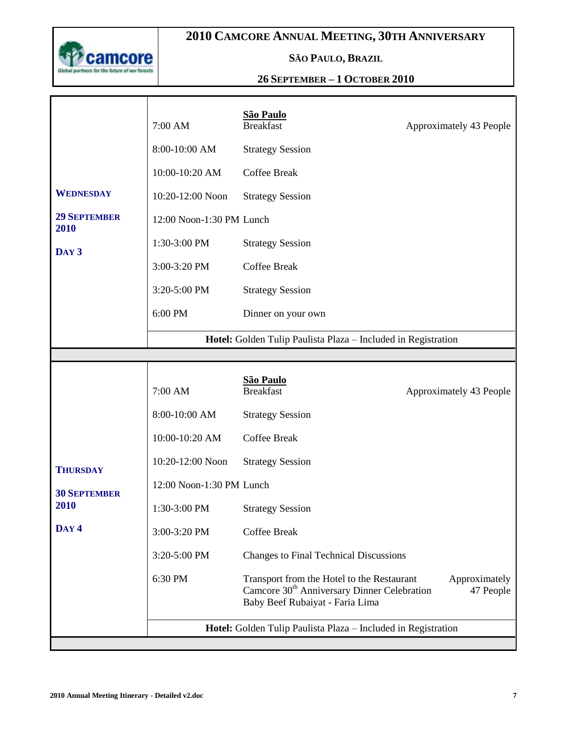

Т

# **2010 CAMCORE ANNUAL MEETING, 30TH ANNIVERSARY**

## **SÃO PAULO, BRAZIL**

## **26 SEPTEMBER – 1 OCTOBER 2010**

|                             | 7:00 AM                                                       | <b>São Paulo</b><br><b>Breakfast</b>                                                                                                     | Approximately 43 People    |  |  |
|-----------------------------|---------------------------------------------------------------|------------------------------------------------------------------------------------------------------------------------------------------|----------------------------|--|--|
|                             | 8:00-10:00 AM                                                 | <b>Strategy Session</b>                                                                                                                  |                            |  |  |
|                             | 10:00-10:20 AM                                                | <b>Coffee Break</b>                                                                                                                      |                            |  |  |
| <b>WEDNESDAY</b>            | 10:20-12:00 Noon                                              | <b>Strategy Session</b>                                                                                                                  |                            |  |  |
| <b>29 SEPTEMBER</b><br>2010 | 12:00 Noon-1:30 PM Lunch                                      |                                                                                                                                          |                            |  |  |
| DAY <sub>3</sub>            | 1:30-3:00 PM                                                  | <b>Strategy Session</b>                                                                                                                  |                            |  |  |
|                             | 3:00-3:20 PM                                                  | <b>Coffee Break</b>                                                                                                                      |                            |  |  |
|                             | 3:20-5:00 PM                                                  | <b>Strategy Session</b>                                                                                                                  |                            |  |  |
|                             | 6:00 PM                                                       | Dinner on your own                                                                                                                       |                            |  |  |
|                             | Hotel: Golden Tulip Paulista Plaza - Included in Registration |                                                                                                                                          |                            |  |  |
|                             |                                                               |                                                                                                                                          |                            |  |  |
|                             | 7:00 AM                                                       | <b>São Paulo</b><br><b>Breakfast</b>                                                                                                     | Approximately 43 People    |  |  |
|                             | 8:00-10:00 AM                                                 | <b>Strategy Session</b>                                                                                                                  |                            |  |  |
|                             | 10:00-10:20 AM                                                | <b>Coffee Break</b>                                                                                                                      |                            |  |  |
| <b>THURSDAY</b>             | 10:20-12:00 Noon                                              | <b>Strategy Session</b>                                                                                                                  |                            |  |  |
| <b>30 SEPTEMBER</b>         | 12:00 Noon-1:30 PM Lunch                                      |                                                                                                                                          |                            |  |  |
| 2010<br>DAY <sub>4</sub>    | 1:30-3:00 PM                                                  | <b>Strategy Session</b>                                                                                                                  |                            |  |  |
|                             | 3:00-3:20 PM                                                  | <b>Coffee Break</b>                                                                                                                      |                            |  |  |
|                             | 3:20-5:00 PM                                                  | <b>Changes to Final Technical Discussions</b>                                                                                            |                            |  |  |
|                             | 6:30 PM                                                       | Transport from the Hotel to the Restaurant<br>Camcore 30 <sup>th</sup> Anniversary Dinner Celebration<br>Baby Beef Rubaiyat - Faria Lima | Approximately<br>47 People |  |  |
|                             |                                                               | Hotel: Golden Tulip Paulista Plaza - Included in Registration                                                                            |                            |  |  |

П